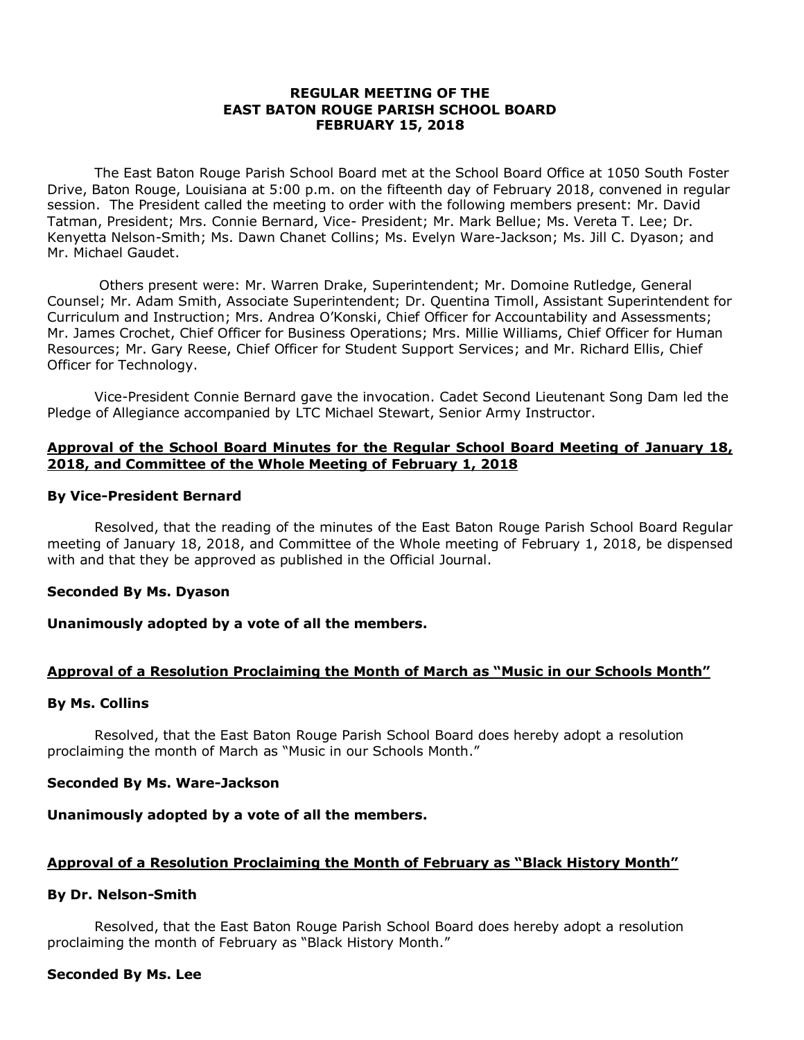### **REGULAR MEETING OF THE EAST BATON ROUGE PARISH SCHOOL BOARD FEBRUARY 15, 2018**

The East Baton Rouge Parish School Board met at the School Board Office at 1050 South Foster Drive, Baton Rouge, Louisiana at 5:00 p.m. on the fifteenth day of February 2018, convened in regular session. The President called the meeting to order with the following members present: Mr. David Tatman, President; Mrs. Connie Bernard, Vice- President; Mr. Mark Bellue; Ms. Vereta T. Lee; Dr. Kenyetta Nelson-Smith; Ms. Dawn Chanet Collins; Ms. Evelyn Ware-Jackson; Ms. Jill C. Dyason; and Mr. Michael Gaudet.

Others present were: Mr. Warren Drake, Superintendent; Mr. Domoine Rutledge, General Counsel; Mr. Adam Smith, Associate Superintendent; Dr. Quentina Timoll, Assistant Superintendent for Curriculum and Instruction; Mrs. Andrea O'Konski, Chief Officer for Accountability and Assessments; Mr. James Crochet, Chief Officer for Business Operations; Mrs. Millie Williams, Chief Officer for Human Resources; Mr. Gary Reese, Chief Officer for Student Support Services; and Mr. Richard Ellis, Chief Officer for Technology.

Vice-President Connie Bernard gave the invocation. Cadet Second Lieutenant Song Dam led the Pledge of Allegiance accompanied by LTC Michael Stewart, Senior Army Instructor.

## **Approval of the School Board Minutes for the Regular School Board Meeting of January 18, 2018, and Committee of the Whole Meeting of February 1, 2018**

### **By Vice-President Bernard**

Resolved, that the reading of the minutes of the East Baton Rouge Parish School Board Regular meeting of January 18, 2018, and Committee of the Whole meeting of February 1, 2018, be dispensed with and that they be approved as published in the Official Journal.

## **Seconded By Ms. Dyason**

## **Unanimously adopted by a vote of all the members.**

# **Approval of a Resolution Proclaiming the Month of March as "Music in our Schools Month"**

#### **By Ms. Collins**

Resolved, that the East Baton Rouge Parish School Board does hereby adopt a resolution proclaiming the month of March as "Music in our Schools Month."

#### **Seconded By Ms. Ware-Jackson**

## **Unanimously adopted by a vote of all the members.**

## **Approval of a Resolution Proclaiming the Month of February as "Black History Month"**

## **By Dr. Nelson-Smith**

Resolved, that the East Baton Rouge Parish School Board does hereby adopt a resolution proclaiming the month of February as "Black History Month."

#### **Seconded By Ms. Lee**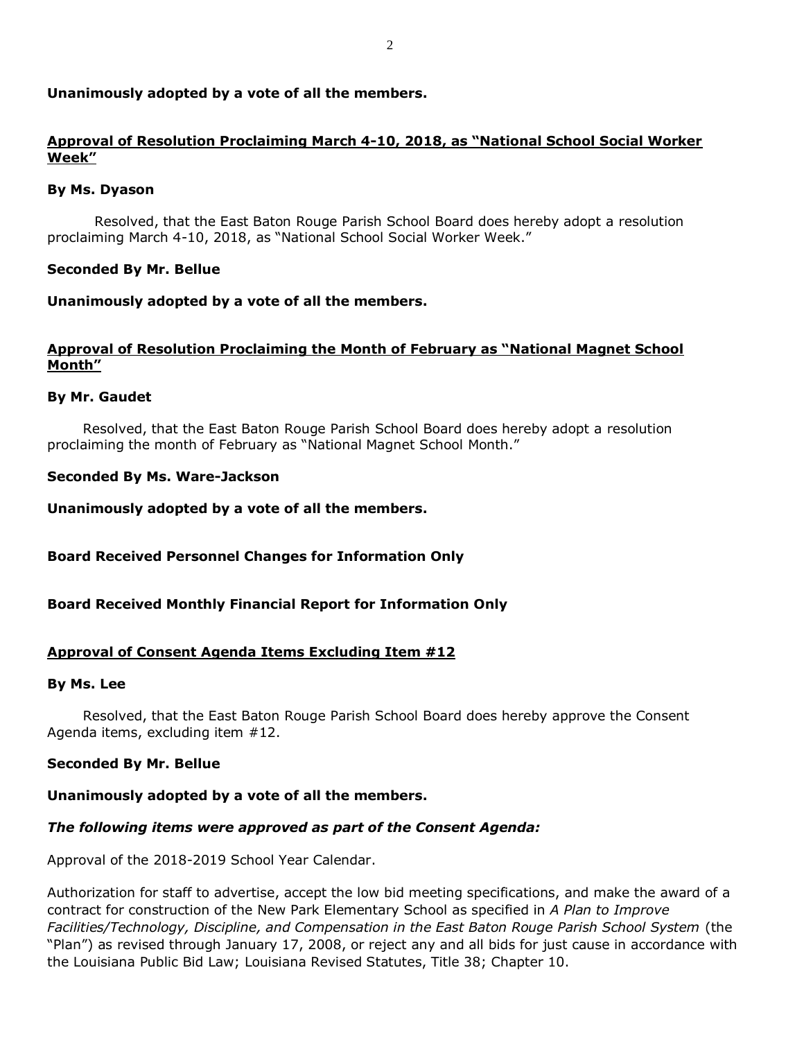## **Unanimously adopted by a vote of all the members.**

# **Approval of Resolution Proclaiming March 4-10, 2018, as "National School Social Worker Week"**

### **By Ms. Dyason**

Resolved, that the East Baton Rouge Parish School Board does hereby adopt a resolution proclaiming March 4-10, 2018, as "National School Social Worker Week."

### **Seconded By Mr. Bellue**

### **Unanimously adopted by a vote of all the members.**

## **Approval of Resolution Proclaiming the Month of February as "National Magnet School Month"**

### **By Mr. Gaudet**

Resolved, that the East Baton Rouge Parish School Board does hereby adopt a resolution proclaiming the month of February as "National Magnet School Month."

### **Seconded By Ms. Ware-Jackson**

**Unanimously adopted by a vote of all the members.**

## **Board Received Personnel Changes for Information Only**

#### **Board Received Monthly Financial Report for Information Only**

#### **Approval of Consent Agenda Items Excluding Item #12**

#### **By Ms. Lee**

Resolved, that the East Baton Rouge Parish School Board does hereby approve the Consent Agenda items, excluding item #12.

#### **Seconded By Mr. Bellue**

#### **Unanimously adopted by a vote of all the members.**

## *The following items were approved as part of the Consent Agenda:*

Approval of the 2018-2019 School Year Calendar.

Authorization for staff to advertise, accept the low bid meeting specifications, and make the award of a contract for construction of the New Park Elementary School as specified in *A Plan to Improve Facilities/Technology, Discipline, and Compensation in the East Baton Rouge Parish School System* (the "Plan") as revised through January 17, 2008, or reject any and all bids for just cause in accordance with the Louisiana Public Bid Law; Louisiana Revised Statutes, Title 38; Chapter 10.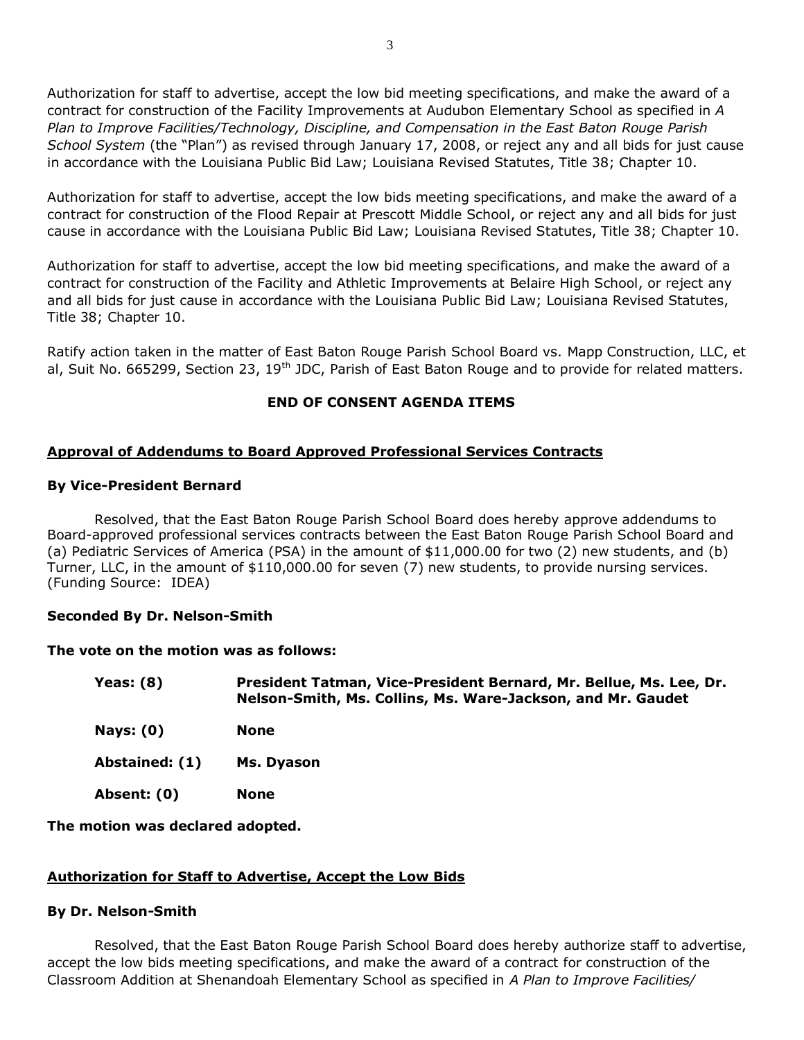Authorization for staff to advertise, accept the low bid meeting specifications, and make the award of a contract for construction of the Facility Improvements at Audubon Elementary School as specified in *A Plan to Improve Facilities/Technology, Discipline, and Compensation in the East Baton Rouge Parish School System* (the "Plan") as revised through January 17, 2008, or reject any and all bids for just cause in accordance with the Louisiana Public Bid Law; Louisiana Revised Statutes, Title 38; Chapter 10.

Authorization for staff to advertise, accept the low bids meeting specifications, and make the award of a contract for construction of the Flood Repair at Prescott Middle School, or reject any and all bids for just cause in accordance with the Louisiana Public Bid Law; Louisiana Revised Statutes, Title 38; Chapter 10.

Authorization for staff to advertise, accept the low bid meeting specifications, and make the award of a contract for construction of the Facility and Athletic Improvements at Belaire High School, or reject any and all bids for just cause in accordance with the Louisiana Public Bid Law; Louisiana Revised Statutes, Title 38; Chapter 10.

Ratify action taken in the matter of East Baton Rouge Parish School Board vs. Mapp Construction, LLC, et al, Suit No. 665299, Section 23, 19<sup>th</sup> JDC, Parish of East Baton Rouge and to provide for related matters.

# **END OF CONSENT AGENDA ITEMS**

# **Approval of Addendums to Board Approved Professional Services Contracts**

### **By Vice-President Bernard**

Resolved, that the East Baton Rouge Parish School Board does hereby approve addendums to Board-approved professional services contracts between the East Baton Rouge Parish School Board and (a) Pediatric Services of America (PSA) in the amount of \$11,000.00 for two (2) new students, and (b) Turner, LLC, in the amount of \$110,000.00 for seven (7) new students, to provide nursing services. (Funding Source: IDEA)

## **Seconded By Dr. Nelson-Smith**

#### **The vote on the motion was as follows:**

| Yeas: $(8)$    | President Tatman, Vice-President Bernard, Mr. Bellue, Ms. Lee, Dr.<br>Nelson-Smith, Ms. Collins, Ms. Ware-Jackson, and Mr. Gaudet |
|----------------|-----------------------------------------------------------------------------------------------------------------------------------|
| Nays: $(0)$    | <b>None</b>                                                                                                                       |
| Abstained: (1) | Ms. Dyason                                                                                                                        |
| Absent: (0)    | <b>None</b>                                                                                                                       |

## **The motion was declared adopted.**

## **Authorization for Staff to Advertise, Accept the Low Bids**

## **By Dr. Nelson-Smith**

Resolved, that the East Baton Rouge Parish School Board does hereby authorize staff to advertise, accept the low bids meeting specifications, and make the award of a contract for construction of the Classroom Addition at Shenandoah Elementary School as specified in *A Plan to Improve Facilities/*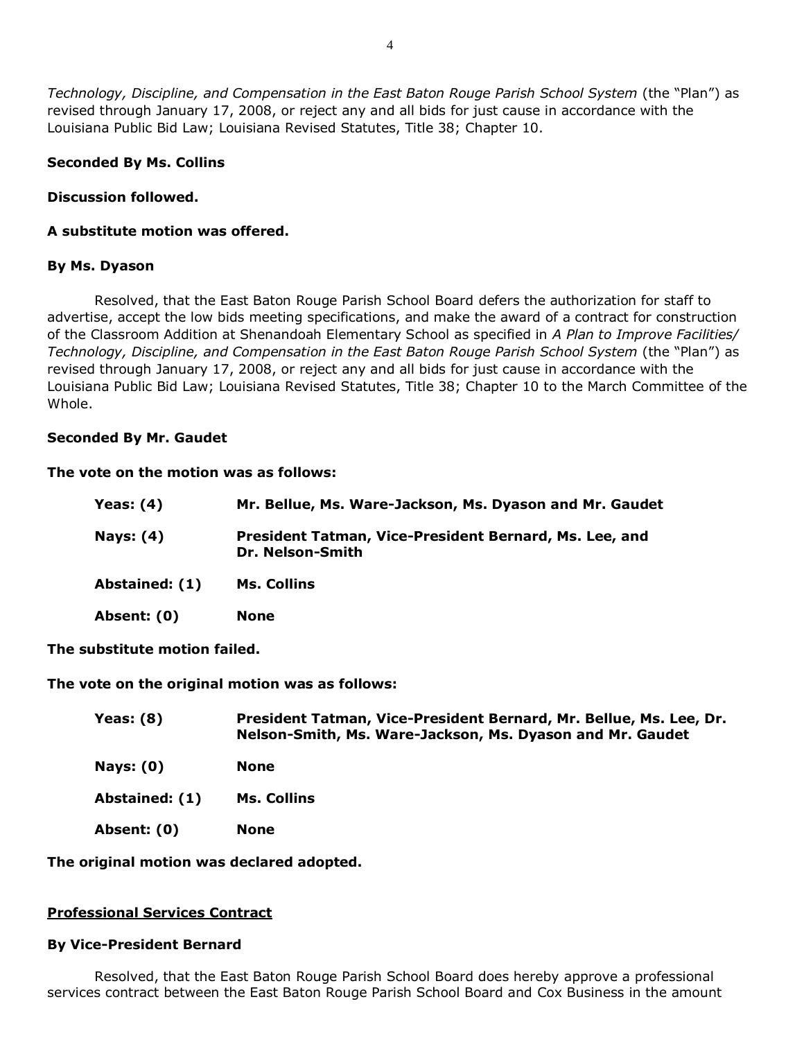*Technology, Discipline, and Compensation in the East Baton Rouge Parish School System* (the "Plan") as revised through January 17, 2008, or reject any and all bids for just cause in accordance with the Louisiana Public Bid Law; Louisiana Revised Statutes, Title 38; Chapter 10.

### **Seconded By Ms. Collins**

### **Discussion followed.**

## **A substitute motion was offered.**

### **By Ms. Dyason**

Resolved, that the East Baton Rouge Parish School Board defers the authorization for staff to advertise, accept the low bids meeting specifications, and make the award of a contract for construction of the Classroom Addition at Shenandoah Elementary School as specified in *A Plan to Improve Facilities/ Technology, Discipline, and Compensation in the East Baton Rouge Parish School System* (the "Plan") as revised through January 17, 2008, or reject any and all bids for just cause in accordance with the Louisiana Public Bid Law; Louisiana Revised Statutes, Title 38; Chapter 10 to the March Committee of the Whole.

### **Seconded By Mr. Gaudet**

#### **The vote on the motion was as follows:**

| Yeas: $(4)$    | Mr. Bellue, Ms. Ware-Jackson, Ms. Dyason and Mr. Gaudet                    |
|----------------|----------------------------------------------------------------------------|
| Nays: $(4)$    | President Tatman, Vice-President Bernard, Ms. Lee, and<br>Dr. Nelson-Smith |
| Abstained: (1) | Ms. Collins                                                                |
| Absent: (0)    | <b>None</b>                                                                |

**The substitute motion failed.**

**The vote on the original motion was as follows:**

| Yeas: $(8)$      | President Tatman, Vice-President Bernard, Mr. Bellue, Ms. Lee, Dr.<br>Nelson-Smith, Ms. Ware-Jackson, Ms. Dyason and Mr. Gaudet |
|------------------|---------------------------------------------------------------------------------------------------------------------------------|
| <b>Nays: (0)</b> | <b>None</b>                                                                                                                     |
| Abstained: (1)   | <b>Ms. Collins</b>                                                                                                              |
| Absent: (0)      | <b>None</b>                                                                                                                     |

**The original motion was declared adopted.**

#### **Professional Services Contract**

#### **By Vice-President Bernard**

Resolved, that the East Baton Rouge Parish School Board does hereby approve a professional services contract between the East Baton Rouge Parish School Board and Cox Business in the amount